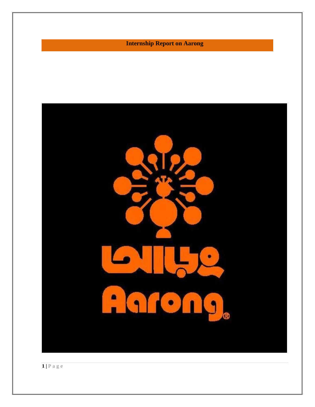**Internship Report on Aarong**

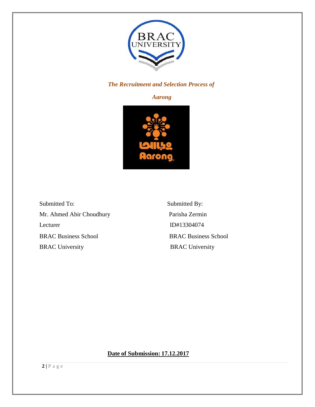

# *The Recruitment and Selection Process of*

# *Aarong*



Submitted To: Submitted By: Mr. Ahmed Abir Choudhury Parisha Zermin Lecturer ID#13304074 BRAC Business School BRAC Business School BRAC University BRAC University

**Date of Submission: 17.12.2017**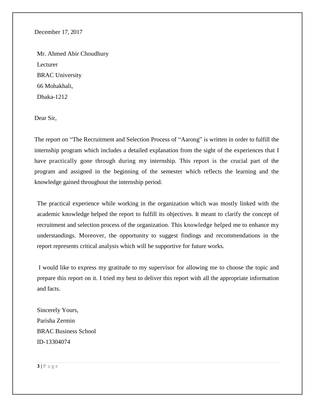December 17, 2017

Mr. Ahmed Abir Choudhury Lecturer BRAC University 66 Mohakhali, Dhaka-1212

Dear Sir,

The report on "The Recruitment and Selection Process of "Aarong" is written in order to fulfill the internship program which includes a detailed explanation from the sight of the experiences that I have practically gone through during my internship. This report is the crucial part of the program and assigned in the beginning of the semester which reflects the learning and the knowledge gained throughout the internship period.

The practical experience while working in the organization which was mostly linked with the academic knowledge helped the report to fulfill its objectives. It meant to clarify the concept of recruitment and selection process of the organization. This knowledge helped me to enhance my understandings. Moreover, the opportunity to suggest findings and recommendations in the report represents critical analysis which will be supportive for future works.

I would like to express my gratitude to my supervisor for allowing me to choose the topic and prepare this report on it. I tried my best to deliver this report with all the appropriate information and facts.

Sincerely Yours, Parisha Zermin BRAC Business School ID-13304074

 $3|P \text{ a } g e$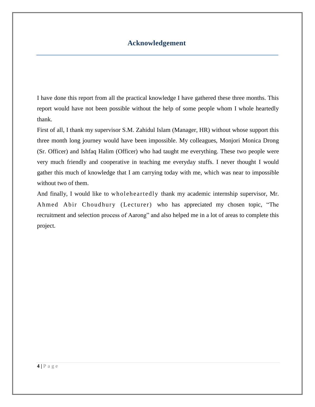# **Acknowledgement**

I have done this report from all the practical knowledge I have gathered these three months. This report would have not been possible without the help of some people whom I whole heartedly thank.

First of all, I thank my supervisor S.M. Zahidul Islam (Manager, HR) without whose support this three month long journey would have been impossible. My colleagues, Monjori Monica Drong (Sr. Officer) and Ishfaq Halim (Officer) who had taught me everything. These two people were very much friendly and cooperative in teaching me everyday stuffs. I never thought I would gather this much of knowledge that I am carrying today with me, which was near to impossible without two of them.

And finally, I would like to wholeheartedly thank my academic internship supervisor, Mr. Ahmed Abir Choudhury (Lecturer) who has appreciated my chosen topic, "The recruitment and selection process of Aarong" and also helped me in a lot of areas to complete this project.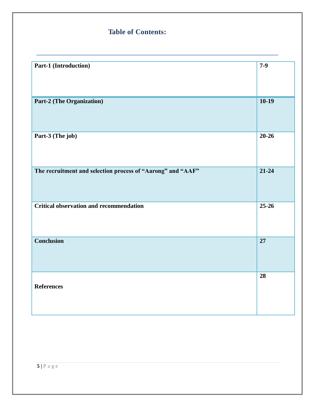# **Table of Contents:**

| Part-1 (Introduction)                                       | $7-9$           |
|-------------------------------------------------------------|-----------------|
| <b>Part-2 (The Organization)</b>                            | $10-19$         |
| Part-3 (The job)                                            | $20 - 26$       |
| The recruitment and selection process of "Aarong" and "AAF" | $21 - 24$       |
| <b>Critical observation and recommendation</b>              | $25 - 26$       |
| <b>Conclusion</b>                                           | $\overline{27}$ |
| <b>References</b>                                           | 28              |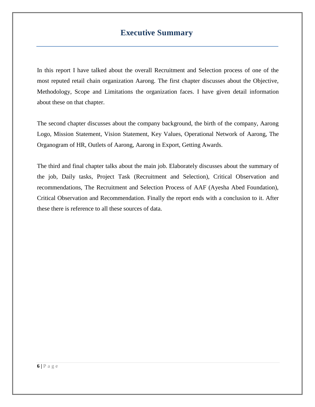# **Executive Summary**

In this report I have talked about the overall Recruitment and Selection process of one of the most reputed retail chain organization Aarong. The first chapter discusses about the Objective, Methodology, Scope and Limitations the organization faces. I have given detail information about these on that chapter.

The second chapter discusses about the company background, the birth of the company, Aarong Logo, Mission Statement, Vision Statement, Key Values, Operational Network of Aarong, The Organogram of HR, Outlets of Aarong, Aarong in Export, Getting Awards.

The third and final chapter talks about the main job. Elaborately discusses about the summary of the job, Daily tasks, Project Task (Recruitment and Selection), Critical Observation and recommendations, The Recruitment and Selection Process of AAF (Ayesha Abed Foundation), Critical Observation and Recommendation. Finally the report ends with a conclusion to it. After these there is reference to all these sources of data.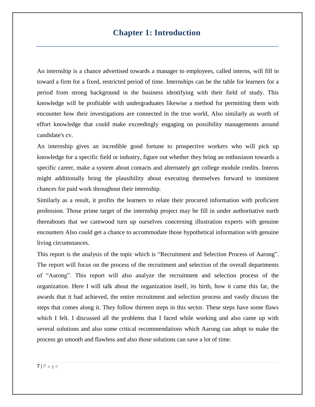# **Chapter 1: Introduction**

An internship is a chance advertised towards a manager to employees, called interns, will fill in toward a firm for a fixed, restricted period of time. Internships can be the table for learners for a period from strong background in the business identifying with their field of study. This knowledge will be profitable with undergraduates likewise a method for permitting them with encounter how their investigations are connected in the true world, Also similarly as worth of effort knowledge that could make exceedingly engaging on possibility managements around candidate's cv.

An internship gives an incredible good fortune to prospective workers who will pick up knowledge for a specific field or industry, figure out whether they bring an enthusiasm towards a specific career, make a system about contacts and alternately get college module credits. Interns might additionally bring the plausibility about executing themselves forward to imminent chances for paid work throughout their internship.

Similarly as a result, it profits the learners to relate their procured information with proficient profession. Those prime target of the internship project may be fill in under authoritative earth thereabouts that we camwood turn up ourselves concerning illustration experts with genuine encounters Also could get a chance to accommodate those hypothetical information with genuine living circumstances.

This report is the analysis of the topic which is "Recruitment and Selection Process of Aarong". The report will focus on the process of the recruitment and selection of the overall departments of "Aarong". This report will also analyze the recruitment and selection process of the organization. Here I will talk about the organization itself, its birth, how it came this far, the awards that it had achieved, the entire recruitment and selection process and vastly discuss the steps that comes along it. They follow thirteen steps in this sector. These steps have some flaws which I felt. I discussed all the problems that I faced while working and also came up with several solutions and also some critical recommendations which Aarong can adopt to make the process go smooth and flawless and also those solutions can save a lot of time.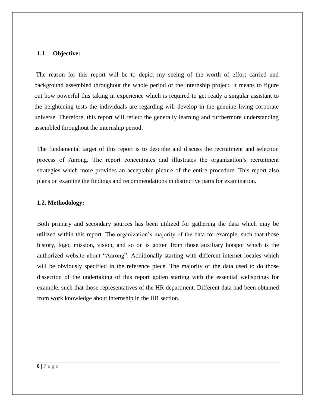## **1.1 Objective:**

The reason for this report will be to depict my seeing of the worth of effort carried and background assembled throughout the whole period of the internship project. It means to figure out how powerful this taking in experience which is required to get ready a singular assistant to the heightening tests the individuals are regarding will develop in the genuine living corporate universe. Therefore, this report will reflect the generally learning and furthermore understanding assembled throughout the internship period.

The fundamental target of this report is to describe and discuss the recruitment and selection process of Aarong. The report concentrates and illustrates the organization's recruitment strategies which more provides an acceptable picture of the entire procedure. This report also plans on examine the findings and recommendations in distinctive parts for examination.

#### **1.2. Methodology:**

Both primary and secondary sources has been utilized for gathering the data which may be utilized within this report. The organization's majority of the data for example, such that those history, logo, mission, vision, and so on is gotten from those auxiliary hotspot which is the authorized website about "Aarong". Additionally starting with different internet locales which will be obviously specified in the reference piece. The majority of the data used to do those dissection of the undertaking of this report gotten starting with the essential wellsprings for example, such that those representatives of the HR department. Different data had been obtained from work knowledge about internship in the HR section.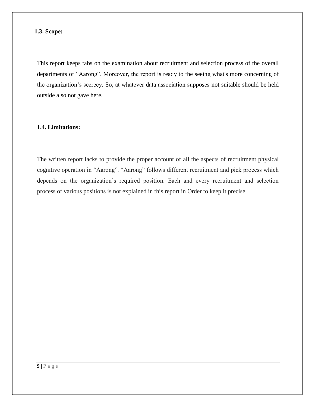## **1.3. Scope:**

This report keeps tabs on the examination about recruitment and selection process of the overall departments of "Aarong". Moreover, the report is ready to the seeing what's more concerning of the organization's secrecy. So, at whatever data association supposes not suitable should be held outside also not gave here.

# **1.4. Limitations:**

The written report lacks to provide the proper account of all the aspects of recruitment physical cognitive operation in "Aarong". "Aarong" follows different recruitment and pick process which depends on the organization's required position. Each and every recruitment and selection process of various positions is not explained in this report in Order to keep it precise.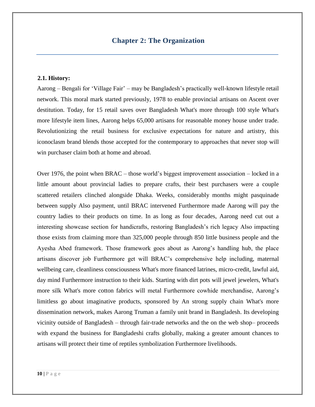## **2.1. History:**

Aarong – Bengali for 'Village Fair' – may be Bangladesh's practically well-known lifestyle retail network. This moral mark started previously, 1978 to enable provincial artisans on Ascent over destitution. Today, for 15 retail saves over Bangladesh What's more through 100 style What's more lifestyle item lines, Aarong helps 65,000 artisans for reasonable money house under trade. Revolutionizing the retail business for exclusive expectations for nature and artistry, this iconoclasm brand blends those accepted for the contemporary to approaches that never stop will win purchaser claim both at home and abroad.

Over 1976, the point when BRAC – those world's biggest improvement association – locked in a little amount about provincial ladies to prepare crafts, their best purchasers were a couple scattered retailers clinched alongside Dhaka. Weeks, considerably months might pasquinade between supply Also payment, until BRAC intervened Furthermore made Aarong will pay the country ladies to their products on time. In as long as four decades, Aarong need cut out a interesting showcase section for handicrafts, restoring Bangladesh's rich legacy Also impacting those exists from claiming more than 325,000 people through 850 little business people and the Ayesha Abed framework. Those framework goes about as Aarong's handling hub, the place artisans discover job Furthermore get will BRAC's comprehensive help including, maternal wellbeing care, cleanliness consciousness What's more financed latrines, micro-credit, lawful aid, day mind Furthermore instruction to their kids. Starting with dirt pots will jewel jewelers, What's more silk What's more cotton fabrics will metal Furthermore cowhide merchandise, Aarong's limitless go about imaginative products, sponsored by An strong supply chain What's more dissemination network, makes Aarong Truman a family unit brand in Bangladesh. Its developing vicinity outside of Bangladesh – through fair-trade networks and the on the web shop– proceeds with expand the business for Bangladeshi crafts globally, making a greater amount chances to artisans will protect their time of reptiles symbolization Furthermore livelihoods.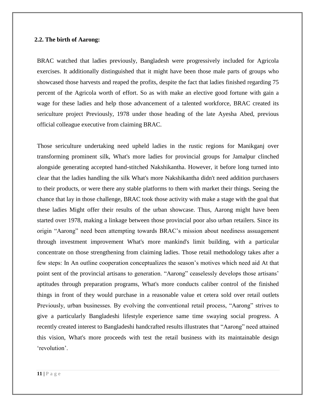#### **2.2. The birth of Aarong:**

BRAC watched that ladies previously, Bangladesh were progressively included for Agricola exercises. It additionally distinguished that it might have been those male parts of groups who showcased those harvests and reaped the profits, despite the fact that ladies finished regarding 75 percent of the Agricola worth of effort. So as with make an elective good fortune with gain a wage for these ladies and help those advancement of a talented workforce, BRAC created its sericulture project Previously, 1978 under those heading of the late Ayesha Abed, previous official colleague executive from claiming BRAC.

Those sericulture undertaking need upheld ladies in the rustic regions for Manikganj over transforming prominent silk, What's more ladies for provincial groups for Jamalpur clinched alongside generating accepted hand-stitched Nakshikantha. However, it before long turned into clear that the ladies handling the silk What's more Nakshikantha didn't need addition purchasers to their products, or were there any stable platforms to them with market their things. Seeing the chance that lay in those challenge, BRAC took those activity with make a stage with the goal that these ladies Might offer their results of the urban showcase. Thus, Aarong might have been started over 1978, making a linkage between those provincial poor also urban retailers. Since its origin "Aarong" need been attempting towards BRAC's mission about neediness assuagement through investment improvement What's more mankind's limit building, with a particular concentrate on those strengthening from claiming ladies. Those retail methodology takes after a few steps: In An outline cooperation conceptualizes the season's motives which need aid At that point sent of the provincial artisans to generation. "Aarong" ceaselessly develops those artisans' aptitudes through preparation programs, What's more conducts caliber control of the finished things in front of they would purchase in a reasonable value et cetera sold over retail outlets Previously, urban businesses. By evolving the conventional retail process, "Aarong" strives to give a particularly Bangladeshi lifestyle experience same time swaying social progress. A recently created interest to Bangladeshi handcrafted results illustrates that "Aarong" need attained this vision, What's more proceeds with test the retail business with its maintainable design 'revolution'.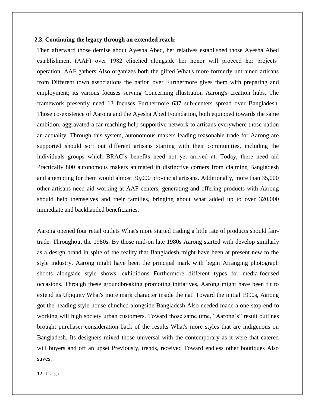#### **2.3. Continuing the legacy through an extended reach:**

Then afterward those demise about Ayesha Abed, her relatives established those Ayesha Abed establishment (AAF) over 1982 clinched alongside her honor will proceed her projects' operation. AAF gathers Also organizes both the gifted What's more formerly untrained artisans from Different town associations the nation over Furthermore gives them with preparing and employment; its various focuses serving Concerning illustration Aarong's creation hubs. The framework presently need 13 focuses Furthermore 637 sub-centers spread over Bangladesh. Those co-existence of Aarong and the Ayesha Abed Foundation, both equipped towards the same ambition, aggravated a far reaching help supportive network to artisans everywhere those nation an actuality. Through this system, autonomous makers leading reasonable trade for Aarong are supported should sort out different artisans starting with their communities, including the individuals groups which BRAC's benefits need not yet arrived at. Today, there need aid Practically 800 autonomous makers animated in distinctive corners from claiming Bangladesh and attempting for them would almost 30,000 provincial artisans. Additionally, more than 35,000 other artisans need aid working at AAF centers, generating and offering products with Aarong should help themselves and their families, bringing about what added up to over 320,000 immediate and backhanded beneficiaries.

Aarong opened four retail outlets What's more started trading a little rate of products should fairtrade. Throughout the 1980s. By those mid-on late 1980s Aarong started with develop similarly as a design brand in spite of the reality that Bangladesh might have been at present new to the style industry. Aarong might have been the principal mark with begin Arranging photograph shoots alongside style shows, exhibitions Furthermore different types for media-focused occasions. Through these groundbreaking promoting initiatives, Aarong might have been fit to extend its Ubiquity What's more mark character inside the nat. Toward the initial 1990s, Aarong got the heading style house clinched alongside Bangladesh Also needed made a one-stop end to working will high society urban customers. Toward those same time, "Aarong's" result outlines brought purchaser consideration back of the results What's more styles that are indigenous on Bangladesh. Its designers mixed those universal with the contemporary as it were that catered will buyers and off an upset Previously, trends, received Toward endless other boutiques Also saves.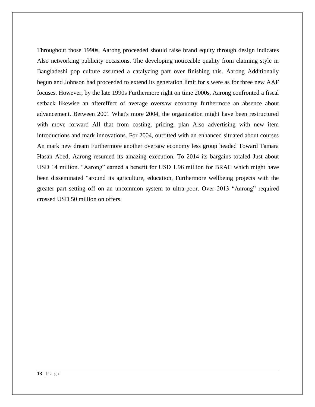Throughout those 1990s, Aarong proceeded should raise brand equity through design indicates Also networking publicity occasions. The developing noticeable quality from claiming style in Bangladeshi pop culture assumed a catalyzing part over finishing this. Aarong Additionally begun and Johnson had proceeded to extend its generation limit for s were as for three new AAF focuses. However, by the late 1990s Furthermore right on time 2000s, Aarong confronted a fiscal setback likewise an aftereffect of average oversaw economy furthermore an absence about advancement. Between 2001 What's more 2004, the organization might have been restructured with move forward All that from costing, pricing, plan Also advertising with new item introductions and mark innovations. For 2004, outfitted with an enhanced situated about courses An mark new dream Furthermore another oversaw economy less group headed Toward Tamara Hasan Abed, Aarong resumed its amazing execution. To 2014 its bargains totaled Just about USD 14 million. "Aarong" earned a benefit for USD 1.96 million for BRAC which might have been disseminated "around its agriculture, education, Furthermore wellbeing projects with the greater part setting off on an uncommon system to ultra-poor. Over 2013 "Aarong" required crossed USD 50 million on offers.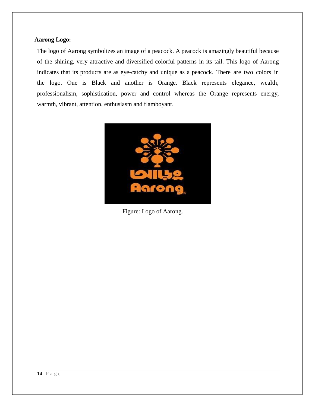# **Aarong Logo:**

The logo of Aarong symbolizes an image of a peacock. A peacock is amazingly beautiful because of the shining, very attractive and diversified colorful patterns in its tail. This logo of Aarong indicates that its products are as eye-catchy and unique as a peacock. There are two colors in the logo. One is Black and another is Orange. Black represents elegance, wealth, professionalism, sophistication, power and control whereas the Orange represents energy, warmth, vibrant, attention, enthusiasm and flamboyant.



Figure: Logo of Aarong.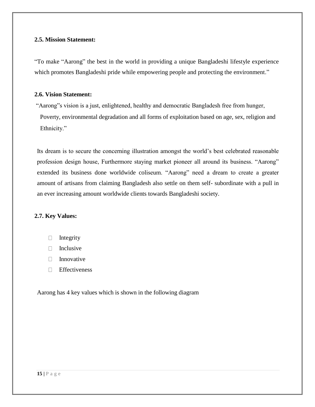## **2.5. Mission Statement:**

"To make "Aarong" the best in the world in providing a unique Bangladeshi lifestyle experience which promotes Bangladeshi pride while empowering people and protecting the environment."

# **2.6. Vision Statement:**

"Aarong"s vision is a just, enlightened, healthy and democratic Bangladesh free from hunger, Poverty, environmental degradation and all forms of exploitation based on age, sex, religion and Ethnicity."

Its dream is to secure the concerning illustration amongst the world's best celebrated reasonable profession design house, Furthermore staying market pioneer all around its business. "Aarong" extended its business done worldwide coliseum. "Aarong" need a dream to create a greater amount of artisans from claiming Bangladesh also settle on them self- subordinate with a pull in an ever increasing amount worldwide clients towards Bangladeshi society.

# **2.7. Key Values:**

- $\Box$  Integrity
- $\Box$  Inclusive
- $\Box$  Innovative
- **Effectiveness**

Aarong has 4 key values which is shown in the following diagram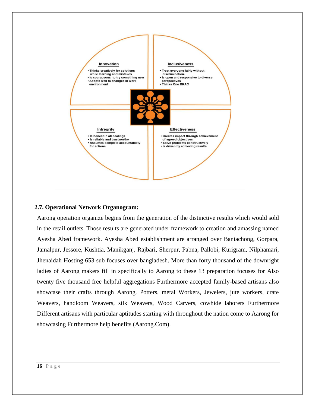

## **2.7. Operational Network Organogram:**

Aarong operation organize begins from the generation of the distinctive results which would sold in the retail outlets. Those results are generated under framework to creation and amassing named Ayesha Abed framework. Ayesha Abed establishment are arranged over Baniachong, Gorpara, Jamalpur, Jessore, Kushtia, Manikganj, Rajbari, Sherpur, Pabna, Pallobi, Kurigram, Nilphamari, Jhenaidah Hosting 653 sub focuses over bangladesh. More than forty thousand of the downright ladies of Aarong makers fill in specifically to Aarong to these 13 preparation focuses for Also twenty five thousand free helpful aggregations Furthermore accepted family-based artisans also showcase their crafts through Aarong. Potters, metal Workers, Jewelers, jute workers, crate Weavers, handloom Weavers, silk Weavers, Wood Carvers, cowhide laborers Furthermore Different artisans with particular aptitudes starting with throughout the nation come to Aarong for showcasing Furthermore help benefits (Aarong.Com).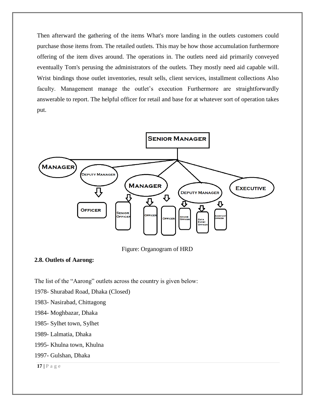Then afterward the gathering of the items What's more landing in the outlets customers could purchase those items from. The retailed outlets. This may be how those accumulation furthermore offering of the item dives around. The operations in. The outlets need aid primarily conveyed eventually Tom's perusing the administrators of the outlets. They mostly need aid capable will. Wrist bindings those outlet inventories, result sells, client services, installment collections Also faculty. Management manage the outlet's execution Furthermore are straightforwardly answerable to report. The helpful officer for retail and base for at whatever sort of operation takes put.



Figure: Organogram of HRD

## **2.8. Outlets of Aarong:**

The list of the "Aarong" outlets across the country is given below:

1978- Shurabad Road, Dhaka (Closed)

1983- Nasirabad, Chittagong

- 1984- Moghbazar, Dhaka
- 1985- Sylhet town, Sylhet
- 1989- Lalmatia, Dhaka
- 1995- Khulna town, Khulna
- 1997- Gulshan, Dhaka

**17 |** P a g e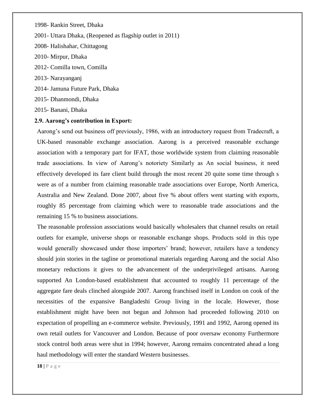1998- Rankin Street, Dhaka

2001- Uttara Dhaka, (Reopened as flagship outlet in 2011)

2008- Halishahar, Chittagong

- 2010- Mirpur, Dhaka
- 2012- Comilla town, Comilla
- 2013- Narayanganj
- 2014- Jamuna Future Park, Dhaka
- 2015- Dhanmondi, Dhaka

2015- Banani, Dhaka

### **2.9. Aarong's contribution in Export:**

Aarong's send out business off previously, 1986, with an introductory request from Tradecraft, a UK-based reasonable exchange association. Aarong is a perceived reasonable exchange association with a temporary part for IFAT, those worldwide system from claiming reasonable trade associations. In view of Aarong's notoriety Similarly as An social business, it need effectively developed its fare client build through the most recent 20 quite some time through s were as of a number from claiming reasonable trade associations over Europe, North America, Australia and New Zealand. Done 2007, about five % about offers went starting with exports, roughly 85 percentage from claiming which were to reasonable trade associations and the remaining 15 % to business associations.

The reasonable profession associations would basically wholesalers that channel results on retail outlets for example, universe shops or reasonable exchange shops. Products sold in this type would generally showcased under those importers' brand; however, retailers have a tendency should join stories in the tagline or promotional materials regarding Aarong and the social Also monetary reductions it gives to the advancement of the underprivileged artisans. Aarong supported An London-based establishment that accounted to roughly 11 percentage of the aggregate fare deals clinched alongside 2007. Aarong franchised itself in London on cook of the necessities of the expansive Bangladeshi Group living in the locale. However, those establishment might have been not begun and Johnson had proceeded following 2010 on expectation of propelling an e-commerce website. Previously, 1991 and 1992, Aarong opened its own retail outlets for Vancouver and London. Because of poor oversaw economy Furthermore stock control both areas were shut in 1994; however, Aarong remains concentrated ahead a long haul methodology will enter the standard Western businesses.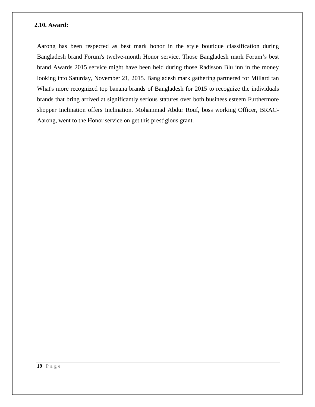#### **2.10. Award:**

Aarong has been respected as best mark honor in the style boutique classification during Bangladesh brand Forum's twelve-month Honor service. Those Bangladesh mark Forum's best brand Awards 2015 service might have been held during those Radisson Blu inn in the money looking into Saturday, November 21, 2015. Bangladesh mark gathering partnered for Millard tan What's more recognized top banana brands of Bangladesh for 2015 to recognize the individuals brands that bring arrived at significantly serious statures over both business esteem Furthermore shopper Inclination offers Inclination. Mohammad Abdur Rouf, boss working Officer, BRAC-Aarong, went to the Honor service on get this prestigious grant.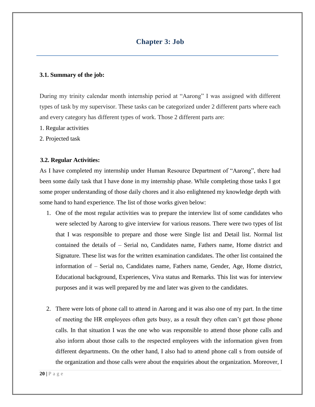# **3.1. Summary of the job:**

During my trinity calendar month internship period at "Aarong" I was assigned with different types of task by my supervisor. These tasks can be categorized under 2 different parts where each and every category has different types of work. Those 2 different parts are:

- 1. Regular activities
- 2. Projected task

# **3.2. Regular Activities:**

As I have completed my internship under Human Resource Department of "Aarong", there had been some daily task that I have done in my internship phase. While completing those tasks I got some proper understanding of those daily chores and it also enlightened my knowledge depth with some hand to hand experience. The list of those works given below:

- 1. One of the most regular activities was to prepare the interview list of some candidates who were selected by Aarong to give interview for various reasons. There were two types of list that I was responsible to prepare and those were Single list and Detail list. Normal list contained the details of – Serial no, Candidates name, Fathers name, Home district and Signature. These list was for the written examination candidates. The other list contained the information of – Serial no, Candidates name, Fathers name, Gender, Age, Home district, Educational background, Experiences, Viva status and Remarks. This list was for interview purposes and it was well prepared by me and later was given to the candidates.
- 2. There were lots of phone call to attend in Aarong and it was also one of my part. In the time of meeting the HR employees often gets busy, as a result they often can't get those phone calls. In that situation I was the one who was responsible to attend those phone calls and also inform about those calls to the respected employees with the information given from different departments. On the other hand, I also had to attend phone call s from outside of the organization and those calls were about the enquiries about the organization. Moreover, I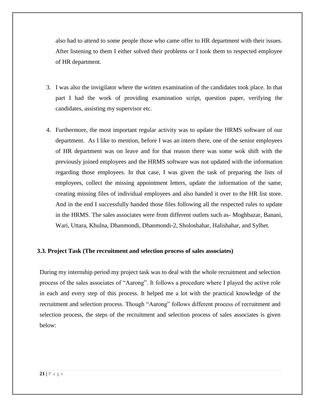also had to attend to some people those who came offer to HR department with their issues. After listening to them I either solved their problems or I took them to respected employee of HR department.

- 3. I was also the invigilator where the written examination of the candidates took place. In that part I had the work of providing examination script, question paper, verifying the candidates, assisting my supervisor etc.
- 4. Furthermore, the most important regular activity was to update the HRMS software of our department. As I like to mention, before I was an intern there, one of the senior employees of HR department was on leave and for that reason there was some wok shift with the previously joined employees and the HRMS software was not updated with the information regarding those employees. In that case, I was given the task of preparing the lists of employees, collect the missing appointment letters, update the information of the same, creating missing files of individual employees and also handed it over to the HR list store. And in the end I successfully handed those files following all the respected rules to update in the HRMS. The sales associates were from different outlets such as- Moghbazar, Banani, Wari, Uttara, Khulna, Dhanmondi, Dhanmondi-2, Sholoshahar, Halishahar, and Sylhet.

## **3.3. Project Task (The recruitment and selection process of sales associates)**

During my internship period my project task was to deal with the whole recruitment and selection process of the sales associates of "Aarong". It follows a procedure where I played the active role in each and every step of this process. It helped me a lot with the practical knowledge of the recruitment and selection process. Though "Aarong" follows different process of recruitment and selection process, the steps of the recruitment and selection process of sales associates is given below: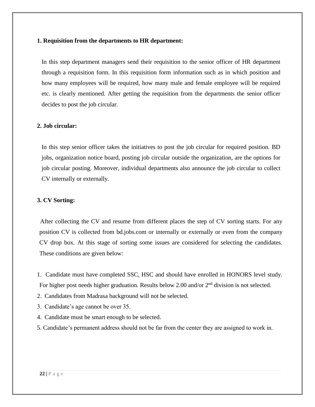## **1. Requisition from the departments to HR department:**

In this step department managers send their requisition to the senior officer of HR department through a requisition form. In this requisition form information such as in which position and how many employees will be required, how many male and female employee will be required etc. is clearly mentioned. After getting the requisition from the departments the senior officer decides to post the job circular.

### **2. Job circular:**

In this step senior officer takes the initiatives to post the job circular for required position. BD jobs, organization notice board, posting job circular outside the organization, are the options for job circular posting. Moreover, individual departments also announce the job circular to collect CV internally or externally.

## **3. CV Sorting:**

 After collecting the CV and resume from different places the step of CV sorting starts. For any position CV is collected from bd.jobs.com or internally or externally or even from the company CV drop box. At this stage of sorting some issues are considered for selecting the candidates. These conditions are given below:

- 1. Candidate must have completed SSC, HSC and should have enrolled in HONORS level study. For higher post needs higher graduation. Results below 2.00 and/or  $2<sup>nd</sup>$  division is not selected.
- 2. Candidates from Madrasa background will not be selected.
- 3. Candidate's age cannot be over 35.
- 4. Candidate must be smart enough to be selected.
- 5. Candidate's permanent address should not be far from the center they are assigned to work in.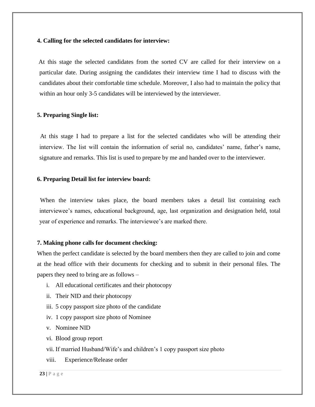#### **4. Calling for the selected candidates for interview:**

At this stage the selected candidates from the sorted CV are called for their interview on a particular date. During assigning the candidates their interview time I had to discuss with the candidates about their comfortable time schedule. Moreover, I also had to maintain the policy that within an hour only 3-5 candidates will be interviewed by the interviewer.

#### **5. Preparing Single list:**

At this stage I had to prepare a list for the selected candidates who will be attending their interview. The list will contain the information of serial no, candidates' name, father's name, signature and remarks. This list is used to prepare by me and handed over to the interviewer.

#### **6. Preparing Detail list for interview board:**

When the interview takes place, the board members takes a detail list containing each interviewee's names, educational background, age, last organization and designation held, total year of experience and remarks. The interviewee's are marked there.

#### **7. Making phone calls for document checking:**

When the perfect candidate is selected by the board members then they are called to join and come at the head office with their documents for checking and to submit in their personal files. The papers they need to bring are as follows –

- i. All educational certificates and their photocopy
- ii. Their NID and their photocopy
- iii. 5 copy passport size photo of the candidate
- iv. 1 copy passport size photo of Nominee
- v. Nominee NID
- vi. Blood group report
- vii. If married Husband/Wife's and children's 1 copy passport size photo
- viii. Experience/Release order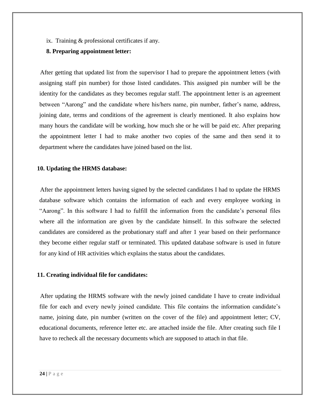ix. Training & professional certificates if any.

## **8. Preparing appointment letter:**

 After getting that updated list from the supervisor I had to prepare the appointment letters (with assigning staff pin number) for those listed candidates. This assigned pin number will be the identity for the candidates as they becomes regular staff. The appointment letter is an agreement between "Aarong" and the candidate where his/hers name, pin number, father's name, address, joining date, terms and conditions of the agreement is clearly mentioned. It also explains how many hours the candidate will be working, how much she or he will be paid etc. After preparing the appointment letter I had to make another two copies of the same and then send it to department where the candidates have joined based on the list.

### **10. Updating the HRMS database:**

 After the appointment letters having signed by the selected candidates I had to update the HRMS database software which contains the information of each and every employee working in "Aarong". In this software I had to fulfill the information from the candidate's personal files where all the information are given by the candidate himself. In this software the selected candidates are considered as the probationary staff and after 1 year based on their performance they become either regular staff or terminated. This updated database software is used in future for any kind of HR activities which explains the status about the candidates.

#### **11. Creating individual file for candidates:**

After updating the HRMS software with the newly joined candidate I have to create individual file for each and every newly joined candidate. This file contains the information candidate's name, joining date, pin number (written on the cover of the file) and appointment letter; CV, educational documents, reference letter etc. are attached inside the file. After creating such file I have to recheck all the necessary documents which are supposed to attach in that file.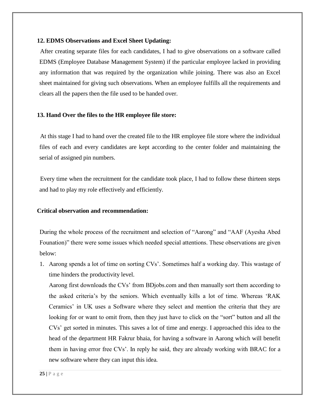## **12. EDMS Observations and Excel Sheet Updating:**

 After creating separate files for each candidates, I had to give observations on a software called EDMS (Employee Database Management System) if the particular employee lacked in providing any information that was required by the organization while joining. There was also an Excel sheet maintained for giving such observations. When an employee fulfills all the requirements and clears all the papers then the file used to be handed over.

# **13. Hand Over the files to the HR employee file store:**

At this stage I had to hand over the created file to the HR employee file store where the individual files of each and every candidates are kept according to the center folder and maintaining the serial of assigned pin numbers.

 Every time when the recruitment for the candidate took place, I had to follow these thirteen steps and had to play my role effectively and efficiently.

## **Critical observation and recommendation:**

During the whole process of the recruitment and selection of "Aarong" and "AAF (Ayesha Abed Founation)" there were some issues which needed special attentions. These observations are given below:

1. Aarong spends a lot of time on sorting CVs'. Sometimes half a working day. This wastage of time hinders the productivity level.

Aarong first downloads the CVs' from BDjobs.com and then manually sort them according to the asked criteria's by the seniors. Which eventually kills a lot of time. Whereas 'RAK Ceramics' in UK uses a Software where they select and mention the criteria that they are looking for or want to omit from, then they just have to click on the "sort" button and all the CVs' get sorted in minutes. This saves a lot of time and energy. I approached this idea to the head of the department HR Fakrur bhaia, for having a software in Aarong which will benefit them in having error free CVs'. In reply he said, they are already working with BRAC for a new software where they can input this idea.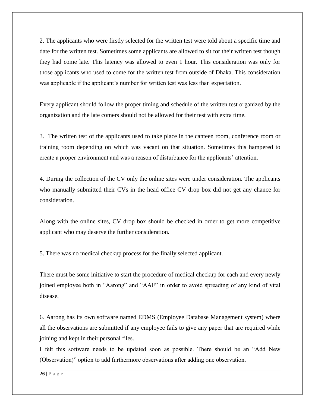2. The applicants who were firstly selected for the written test were told about a specific time and date for the written test. Sometimes some applicants are allowed to sit for their written test though they had come late. This latency was allowed to even 1 hour. This consideration was only for those applicants who used to come for the written test from outside of Dhaka. This consideration was applicable if the applicant's number for written test was less than expectation.

Every applicant should follow the proper timing and schedule of the written test organized by the organization and the late comers should not be allowed for their test with extra time.

3. The written test of the applicants used to take place in the canteen room, conference room or training room depending on which was vacant on that situation. Sometimes this hampered to create a proper environment and was a reason of disturbance for the applicants' attention.

4. During the collection of the CV only the online sites were under consideration. The applicants who manually submitted their CVs in the head office CV drop box did not get any chance for consideration.

Along with the online sites, CV drop box should be checked in order to get more competitive applicant who may deserve the further consideration.

5. There was no medical checkup process for the finally selected applicant.

There must be some initiative to start the procedure of medical checkup for each and every newly joined employee both in "Aarong" and "AAF" in order to avoid spreading of any kind of vital disease.

6. Aarong has its own software named EDMS (Employee Database Management system) where all the observations are submitted if any employee fails to give any paper that are required while joining and kept in their personal files.

I felt this software needs to be updated soon as possible. There should be an "Add New (Observation)" option to add furthermore observations after adding one observation.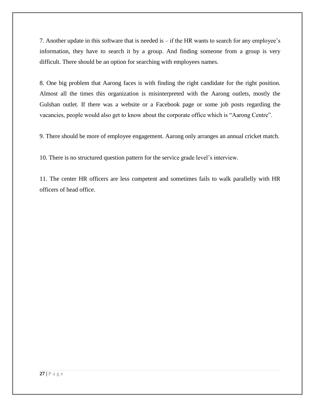7. Another update in this software that is needed is – if the HR wants to search for any employee's information, they have to search it by a group. And finding someone from a group is very difficult. There should be an option for searching with employees names.

8. One big problem that Aarong faces is with finding the right candidate for the right position. Almost all the times this organization is misinterpreted with the Aarong outlets, mostly the Gulshan outlet. If there was a website or a Facebook page or some job posts regarding the vacancies, people would also get to know about the corporate office which is "Aarong Centre".

9. There should be more of employee engagement. Aarong only arranges an annual cricket match.

10. There is no structured question pattern for the service grade level's interview.

11. The center HR officers are less competent and sometimes fails to walk parallelly with HR officers of head office.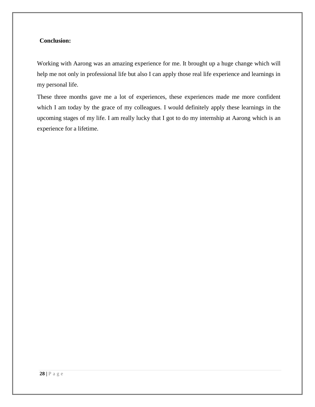# **Conclusion:**

Working with Aarong was an amazing experience for me. It brought up a huge change which will help me not only in professional life but also I can apply those real life experience and learnings in my personal life.

These three months gave me a lot of experiences, these experiences made me more confident which I am today by the grace of my colleagues. I would definitely apply these learnings in the upcoming stages of my life. I am really lucky that I got to do my internship at Aarong which is an experience for a lifetime.